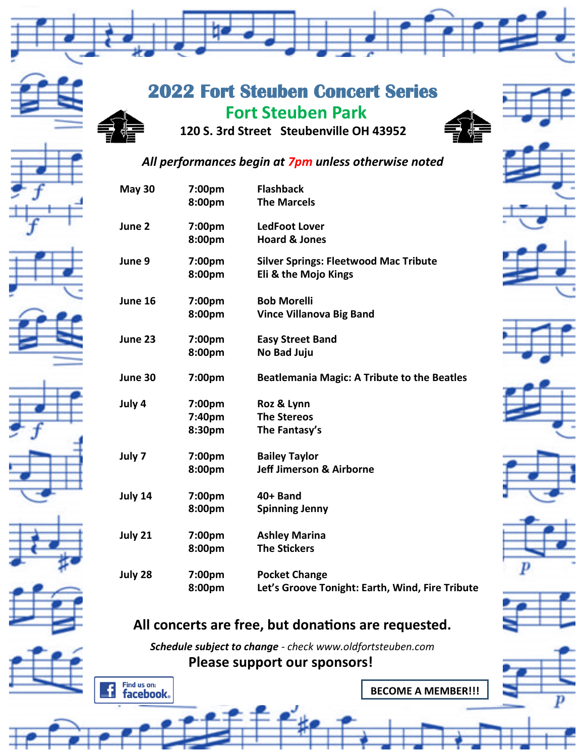

### **2022 Fort Steuben Concert Series**  **Fort Steuben Park 120 S. 3rd Street Steubenville OH 43952**



#### *All performances begin at 7pm unless otherwise noted*

| <b>May 30</b> | 7:00pm<br>8:00pm           | <b>Flashback</b><br><b>The Marcels</b>                                  |
|---------------|----------------------------|-------------------------------------------------------------------------|
| June 2        | 7:00pm<br>8:00pm           | <b>LedFoot Lover</b><br><b>Hoard &amp; Jones</b>                        |
| June 9        | 7:00pm<br>8:00pm           | <b>Silver Springs: Fleetwood Mac Tribute</b><br>Eli & the Mojo Kings    |
| June 16       | 7:00pm<br>8:00pm           | <b>Bob Morelli</b><br><b>Vince Villanova Big Band</b>                   |
| June 23       | 7:00pm<br>8:00pm           | <b>Easy Street Band</b><br>No Bad Juju                                  |
| June 30       | 7:00pm                     | <b>Beatlemania Magic: A Tribute to the Beatles</b>                      |
| July 4        | 7:00pm<br>7:40pm<br>8:30pm | Roz & Lynn<br><b>The Stereos</b><br>The Fantasy's                       |
| July 7        | 7:00pm<br>8:00pm           | <b>Bailey Taylor</b><br><b>Jeff Jimerson &amp; Airborne</b>             |
| July 14       | 7:00pm<br>8:00pm           | 40+ Band<br><b>Spinning Jenny</b>                                       |
| July 21       | 7:00pm<br>8:00pm           | <b>Ashley Marina</b><br><b>The Stickers</b>                             |
| July 28       | 7:00pm<br>8:00pm           | <b>Pocket Change</b><br>Let's Groove Tonight: Earth, Wind, Fire Tribute |



# **All concerts are free, but donations are requested.**

*Schedule subject to change - check www.oldfortsteuben.com* **Please support our sponsors!**



**BECOME A MEMBER!!!**